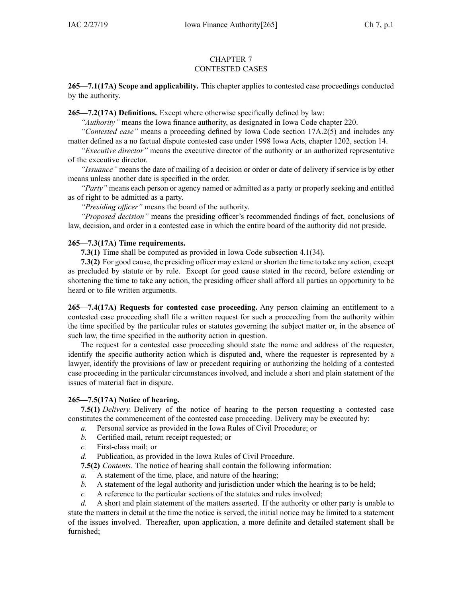### CHAPTER 7 CONTESTED CASES

**265—7.1(17A) Scope and applicability.** This chapter applies to contested case proceedings conducted by the authority.

**265—7.2(17A) Definitions.** Except where otherwise specifically defined by law:

*"Authority"* means the Iowa finance authority, as designated in Iowa Code chapter [220](https://www.legis.iowa.gov/docs/ico/chapter/220.pdf).

*"Contested case"* means <sup>a</sup> proceeding defined by Iowa Code section [17A.2\(5\)](https://www.legis.iowa.gov/docs/ico/section/17A.2.pdf) and includes any matter defined as <sup>a</sup> no factual dispute contested case under 1998 Iowa Acts, chapter 1202, section 14.

*"Executive director"* means the executive director of the authority or an authorized representative of the executive director.

*"Issuance"* means the date of mailing of <sup>a</sup> decision or order or date of delivery if service is by other means unless another date is specified in the order.

*"Party"* means each person or agency named or admitted as <sup>a</sup> party or properly seeking and entitled as of right to be admitted as <sup>a</sup> party.

*"Presiding officer"* means the board of the authority.

*"Proposed decision"* means the presiding officer's recommended findings of fact, conclusions of law, decision, and order in <sup>a</sup> contested case in which the entire board of the authority did not preside.

# **265—7.3(17A) Time requirements.**

**7.3(1)** Time shall be computed as provided in Iowa Code subsection [4.1\(34\)](https://www.legis.iowa.gov/docs/ico/section/4.1.pdf).

**7.3(2)** For good cause, the presiding officer may extend or shorten the time to take any action, excep<sup>t</sup> as precluded by statute or by rule. Except for good cause stated in the record, before extending or shortening the time to take any action, the presiding officer shall afford all parties an opportunity to be heard or to file written arguments.

**265—7.4(17A) Requests for contested case proceeding.** Any person claiming an entitlement to <sup>a</sup> contested case proceeding shall file <sup>a</sup> written reques<sup>t</sup> for such <sup>a</sup> proceeding from the authority within the time specified by the particular rules or statutes governing the subject matter or, in the absence of such law, the time specified in the authority action in question.

The reques<sup>t</sup> for <sup>a</sup> contested case proceeding should state the name and address of the requester, identify the specific authority action which is disputed and, where the requester is represented by <sup>a</sup> lawyer, identify the provisions of law or precedent requiring or authorizing the holding of <sup>a</sup> contested case proceeding in the particular circumstances involved, and include <sup>a</sup> short and plain statement of the issues of material fact in dispute.

## **265—7.5(17A) Notice of hearing.**

**7.5(1)** *Delivery.* Delivery of the notice of hearing to the person requesting <sup>a</sup> contested case constitutes the commencement of the contested case proceeding. Delivery may be executed by:

- *a.* Personal service as provided in the Iowa Rules of Civil Procedure; or
- *b.* Certified mail, return receipt requested; or
- *c.* First-class mail; or
- *d.* Publication, as provided in the Iowa Rules of Civil Procedure.

**7.5(2)** *Contents.* The notice of hearing shall contain the following information:

- *a.* A statement of the time, place, and nature of the hearing;
- *b.* A statement of the legal authority and jurisdiction under which the hearing is to be held;
- *c.* A reference to the particular sections of the statutes and rules involved;

*d.* A short and plain statement of the matters asserted. If the authority or other party is unable to state the matters in detail at the time the notice is served, the initial notice may be limited to <sup>a</sup> statement of the issues involved. Thereafter, upon application, <sup>a</sup> more definite and detailed statement shall be furnished;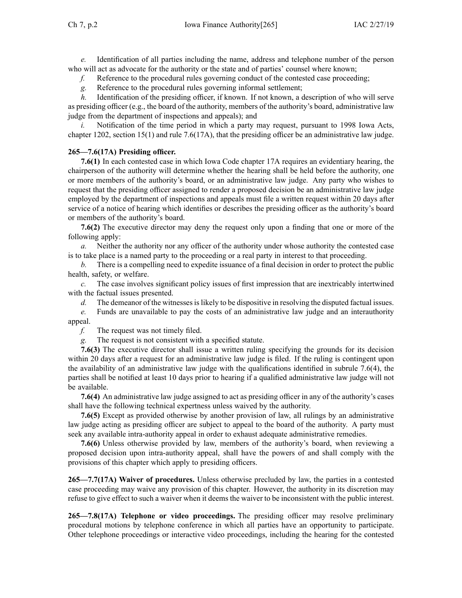*e.* Identification of all parties including the name, address and telephone number of the person who will act as advocate for the authority or the state and of parties' counsel where known;

*f.* Reference to the procedural rules governing conduct of the contested case proceeding;

*g.* Reference to the procedural rules governing informal settlement;

*h.* Identification of the presiding officer, if known. If not known, a description of who will serve as presiding officer (e.g., the board of the authority, members of the authority's board, administrative law judge from the department of inspections and appeals); and

Notification of the time period in which a party may request, pursuant to 1998 Iowa Acts, chapter 1202, section 15(1) and rule [7.6\(17A\)](https://www.legis.iowa.gov/docs/iac/rule/265.7.6.pdf), that the presiding officer be an administrative law judge.

## **265—7.6(17A) Presiding officer.**

**7.6(1)** In each contested case in which Iowa Code chapter [17A](https://www.legis.iowa.gov/docs/ico/chapter/17A.pdf) requires an evidentiary hearing, the chairperson of the authority will determine whether the hearing shall be held before the authority, one or more members of the authority's board, or an administrative law judge. Any party who wishes to reques<sup>t</sup> that the presiding officer assigned to render <sup>a</sup> proposed decision be an administrative law judge employed by the department of inspections and appeals must file <sup>a</sup> written reques<sup>t</sup> within 20 days after service of <sup>a</sup> notice of hearing which identifies or describes the presiding officer as the authority's board or members of the authority's board.

**7.6(2)** The executive director may deny the reques<sup>t</sup> only upon <sup>a</sup> finding that one or more of the following apply:

*a.* Neither the authority nor any officer of the authority under whose authority the contested case is to take place is <sup>a</sup> named party to the proceeding or <sup>a</sup> real party in interest to that proceeding.

*b.* There is <sup>a</sup> compelling need to expedite issuance of <sup>a</sup> final decision in order to protect the public health, safety, or welfare.

*c.* The case involves significant policy issues of first impression that are inextricably intertwined with the factual issues presented.

*d.* The demeanor of the witnesses is likely to be dispositive in resolving the disputed factual issues.

*e.* Funds are unavailable to pay the costs of an administrative law judge and an interauthority appeal.

*f.* The reques<sup>t</sup> was not timely filed.

*g.* The reques<sup>t</sup> is not consistent with <sup>a</sup> specified statute.

**7.6(3)** The executive director shall issue <sup>a</sup> written ruling specifying the grounds for its decision within 20 days after a request for an administrative law judge is filed. If the ruling is contingent upon the availability of an administrative law judge with the qualifications identified in subrule [7.6\(4\)](https://www.legis.iowa.gov/docs/iac/rule/265.7.6.pdf), the parties shall be notified at least 10 days prior to hearing if <sup>a</sup> qualified administrative law judge will not be available.

**7.6(4)** An administrative law judge assigned to act as presiding officer in any of the authority's cases shall have the following technical expertness unless waived by the authority.

**7.6(5)** Except as provided otherwise by another provision of law, all rulings by an administrative law judge acting as presiding officer are subject to appeal to the board of the authority. A party must seek any available intra-authority appeal in order to exhaust adequate administrative remedies.

**7.6(6)** Unless otherwise provided by law, members of the authority's board, when reviewing <sup>a</sup> proposed decision upon intra-authority appeal, shall have the powers of and shall comply with the provisions of this chapter which apply to presiding officers.

**265—7.7(17A) Waiver of procedures.** Unless otherwise precluded by law, the parties in <sup>a</sup> contested case proceeding may waive any provision of this chapter. However, the authority in its discretion may refuse to give effect to such <sup>a</sup> waiver when it deems the waiver to be inconsistent with the public interest.

**265—7.8(17A) Telephone or video proceedings.** The presiding officer may resolve preliminary procedural motions by telephone conference in which all parties have an opportunity to participate. Other telephone proceedings or interactive video proceedings, including the hearing for the contested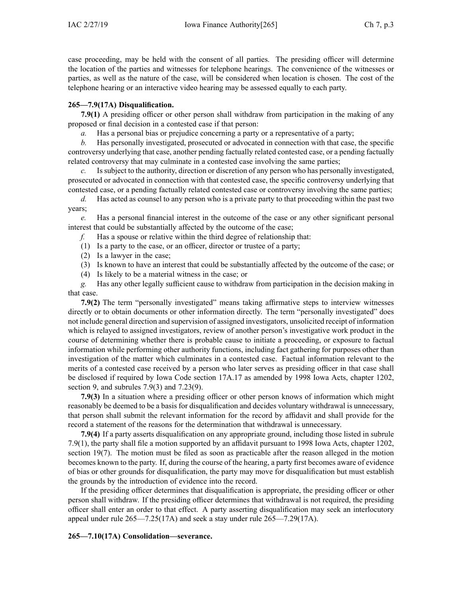case proceeding, may be held with the consent of all parties. The presiding officer will determine the location of the parties and witnesses for telephone hearings. The convenience of the witnesses or parties, as well as the nature of the case, will be considered when location is chosen. The cost of the telephone hearing or an interactive video hearing may be assessed equally to each party.

# **265—7.9(17A) Disqualification.**

**7.9(1)** A presiding officer or other person shall withdraw from participation in the making of any proposed or final decision in <sup>a</sup> contested case if that person:

*a.* Has a personal bias or prejudice concerning a party or a representative of a party;

*b.* Has personally investigated, prosecuted or advocated in connection with that case, the specific controversy underlying that case, another pending factually related contested case, or <sup>a</sup> pending factually related controversy that may culminate in <sup>a</sup> contested case involving the same parties;

Is subject to the authority, direction or discretion of any person who has personally investigated, prosecuted or advocated in connection with that contested case, the specific controversy underlying that contested case, or <sup>a</sup> pending factually related contested case or controversy involving the same parties;

*d.* Has acted as counsel to any person who is <sup>a</sup> private party to that proceeding within the pas<sup>t</sup> two years;

*e.* Has <sup>a</sup> personal financial interest in the outcome of the case or any other significant personal interest that could be substantially affected by the outcome of the case;

*f.* Has <sup>a</sup> spouse or relative within the third degree of relationship that:

- (1) Is <sup>a</sup> party to the case, or an officer, director or trustee of <sup>a</sup> party;
- (2) Is <sup>a</sup> lawyer in the case;
- (3) Is known to have an interest that could be substantially affected by the outcome of the case; or
- (4) Is likely to be <sup>a</sup> material witness in the case; or

*g.* Has any other legally sufficient cause to withdraw from participation in the decision making in that case.

**7.9(2)** The term "personally investigated" means taking affirmative steps to interview witnesses directly or to obtain documents or other information directly. The term "personally investigated" does not include general direction and supervision of assigned investigators, unsolicited receipt of information which is relayed to assigned investigators, review of another person's investigative work product in the course of determining whether there is probable cause to initiate <sup>a</sup> proceeding, or exposure to factual information while performing other authority functions, including fact gathering for purposes other than investigation of the matter which culminates in <sup>a</sup> contested case. Factual information relevant to the merits of <sup>a</sup> contested case received by <sup>a</sup> person who later serves as presiding officer in that case shall be disclosed if required by Iowa Code section [17A.17](https://www.legis.iowa.gov/docs/ico/section/17A.17.pdf) as amended by 1998 Iowa Acts, chapter 1202, section 9, and [subrules](https://www.legis.iowa.gov/docs/iac/rule/265.7.9.pdf) 7.9(3) and [7.23\(9\)](https://www.legis.iowa.gov/docs/iac/rule/265.7.23.pdf).

**7.9(3)** In <sup>a</sup> situation where <sup>a</sup> presiding officer or other person knows of information which might reasonably be deemed to be <sup>a</sup> basis for disqualification and decides voluntary withdrawal is unnecessary, that person shall submit the relevant information for the record by affidavit and shall provide for the record <sup>a</sup> statement of the reasons for the determination that withdrawal is unnecessary.

**7.9(4)** If <sup>a</sup> party asserts disqualification on any appropriate ground, including those listed in [subrule](https://www.legis.iowa.gov/docs/iac/rule/265.7.9.pdf) [7.9\(1\)](https://www.legis.iowa.gov/docs/iac/rule/265.7.9.pdf), the party shall file <sup>a</sup> motion supported by an affidavit pursuan<sup>t</sup> to 1998 Iowa Acts, chapter 1202, section 19(7). The motion must be filed as soon as practicable after the reason alleged in the motion becomes known to the party. If, during the course of the hearing, <sup>a</sup> party first becomes aware of evidence of bias or other grounds for disqualification, the party may move for disqualification but must establish the grounds by the introduction of evidence into the record.

If the presiding officer determines that disqualification is appropriate, the presiding officer or other person shall withdraw. If the presiding officer determines that withdrawal is not required, the presiding officer shall enter an order to that effect. A party asserting disqualification may seek an interlocutory appeal under rule [265—7.25\(17A\)](https://www.legis.iowa.gov/docs/iac/rule/265.7.25.pdf) and seek <sup>a</sup> stay under rule [265—7.29\(17A\)](https://www.legis.iowa.gov/docs/iac/rule/265.7.29.pdf).

**265—7.10(17A) Consolidation—severance.**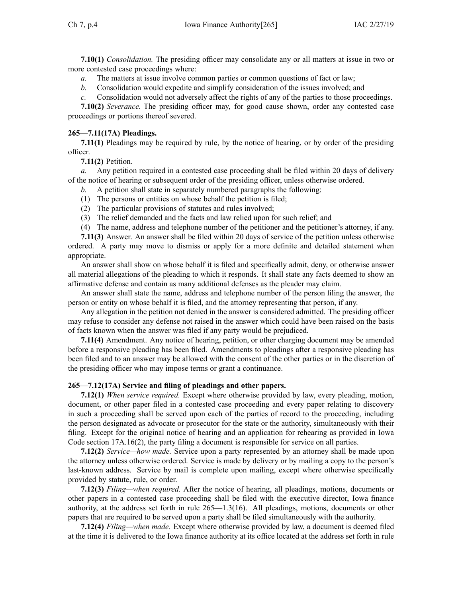**7.10(1)** *Consolidation.* The presiding officer may consolidate any or all matters at issue in two or more contested case proceedings where:

- *a.* The matters at issue involve common parties or common questions of fact or law;
- *b.* Consolidation would expedite and simplify consideration of the issues involved; and
- *c.* Consolidation would not adversely affect the rights of any of the parties to those proceedings.

**7.10(2)** *Severance.* The presiding officer may, for good cause shown, order any contested case proceedings or portions thereof severed.

## **265—7.11(17A) Pleadings.**

**7.11(1)** Pleadings may be required by rule, by the notice of hearing, or by order of the presiding officer.

**7.11(2)** Petition.

*a.* Any petition required in <sup>a</sup> contested case proceeding shall be filed within 20 days of delivery of the notice of hearing or subsequent order of the presiding officer, unless otherwise ordered.

- *b.* A petition shall state in separately numbered paragraphs the following:
- (1) The persons or entities on whose behalf the petition is filed;
- (2) The particular provisions of statutes and rules involved;
- (3) The relief demanded and the facts and law relied upon for such relief; and
- (4) The name, address and telephone number of the petitioner and the petitioner's attorney, if any.

**7.11(3)** Answer. An answer shall be filed within 20 days of service of the petition unless otherwise ordered. A party may move to dismiss or apply for <sup>a</sup> more definite and detailed statement when appropriate.

An answer shall show on whose behalf it is filed and specifically admit, deny, or otherwise answer all material allegations of the pleading to which it responds. It shall state any facts deemed to show an affirmative defense and contain as many additional defenses as the pleader may claim.

An answer shall state the name, address and telephone number of the person filing the answer, the person or entity on whose behalf it is filed, and the attorney representing that person, if any.

Any allegation in the petition not denied in the answer is considered admitted. The presiding officer may refuse to consider any defense not raised in the answer which could have been raised on the basis of facts known when the answer was filed if any party would be prejudiced.

**7.11(4)** Amendment. Any notice of hearing, petition, or other charging document may be amended before <sup>a</sup> responsive pleading has been filed. Amendments to pleadings after <sup>a</sup> responsive pleading has been filed and to an answer may be allowed with the consent of the other parties or in the discretion of the presiding officer who may impose terms or gran<sup>t</sup> <sup>a</sup> continuance.

### **265—7.12(17A) Service and filing of pleadings and other papers.**

**7.12(1)** *When service required.* Except where otherwise provided by law, every pleading, motion, document, or other paper filed in <sup>a</sup> contested case proceeding and every paper relating to discovery in such <sup>a</sup> proceeding shall be served upon each of the parties of record to the proceeding, including the person designated as advocate or prosecutor for the state or the authority, simultaneously with their filing. Except for the original notice of hearing and an application for rehearing as provided in Iowa Code section [17A.16\(2\)](https://www.legis.iowa.gov/docs/ico/section/17A.16.pdf), the party filing <sup>a</sup> document is responsible for service on all parties.

**7.12(2)** *Service—how made.* Service upon <sup>a</sup> party represented by an attorney shall be made upon the attorney unless otherwise ordered. Service is made by delivery or by mailing <sup>a</sup> copy to the person's last-known address. Service by mail is complete upon mailing, excep<sup>t</sup> where otherwise specifically provided by statute, rule, or order.

**7.12(3)** *Filing—when required.* After the notice of hearing, all pleadings, motions, documents or other papers in <sup>a</sup> contested case proceeding shall be filed with the executive director, Iowa finance authority, at the address set forth in rule 265—1.3(16). All pleadings, motions, documents or other papers that are required to be served upon <sup>a</sup> party shall be filed simultaneously with the authority.

**7.12(4)** *Filing—when made.* Except where otherwise provided by law, <sup>a</sup> document is deemed filed at the time it is delivered to the Iowa finance authority at its office located at the address set forth in rule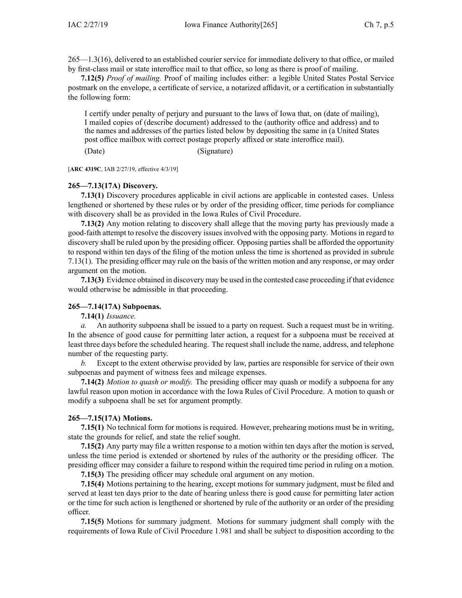265—1.3(16), delivered to an established courier service for immediate delivery to that office, or mailed by first-class mail or state interoffice mail to that office, so long as there is proof of mailing.

**7.12(5)** *Proof of mailing.* Proof of mailing includes either: <sup>a</sup> legible United States Postal Service postmark on the envelope, <sup>a</sup> certificate of service, <sup>a</sup> notarized affidavit, or <sup>a</sup> certification in substantially the following form:

I certify under penalty of perjury and pursuan<sup>t</sup> to the laws of Iowa that, on (date of mailing), I mailed copies of (describe document) addressed to the (authority office and address) and to the names and addresses of the parties listed below by depositing the same in (a United States pos<sup>t</sup> office mailbox with correct postage properly affixed or state interoffice mail).

(Date) (Signature)

[**ARC [4319C](https://www.legis.iowa.gov/docs/aco/arc/4319C.pdf)**, IAB 2/27/19, effective 4/3/19]

### **265—7.13(17A) Discovery.**

**7.13(1)** Discovery procedures applicable in civil actions are applicable in contested cases. Unless lengthened or shortened by these rules or by order of the presiding officer, time periods for compliance with discovery shall be as provided in the Iowa Rules of Civil Procedure.

**7.13(2)** Any motion relating to discovery shall allege that the moving party has previously made <sup>a</sup> good-faith attempt to resolve the discovery issues involved with the opposing party. Motions in regard to discovery shall be ruled upon by the presiding officer. Opposing parties shall be afforded the opportunity to respond within ten days of the filing of the motion unless the time is shortened as provided in [subrule](https://www.legis.iowa.gov/docs/iac/rule/265.7.13.pdf) [7.13\(1\)](https://www.legis.iowa.gov/docs/iac/rule/265.7.13.pdf). The presiding officer may rule on the basis of the written motion and any response, or may order argumen<sup>t</sup> on the motion.

**7.13(3)** Evidence obtained in discovery may be used in the contested case proceeding if that evidence would otherwise be admissible in that proceeding.

#### **265—7.14(17A) Subpoenas.**

**7.14(1)** *Issuance.*

*a.* An authority subpoena shall be issued to <sup>a</sup> party on request. Such <sup>a</sup> reques<sup>t</sup> must be in writing. In the absence of good cause for permitting later action, <sup>a</sup> reques<sup>t</sup> for <sup>a</sup> subpoena must be received at least three days before the scheduled hearing. The reques<sup>t</sup> shall include the name, address, and telephone number of the requesting party.

*b.* Except to the extent otherwise provided by law, parties are responsible for service of their own subpoenas and paymen<sup>t</sup> of witness fees and mileage expenses.

**7.14(2)** *Motion to quash or modify.* The presiding officer may quash or modify <sup>a</sup> subpoena for any lawful reason upon motion in accordance with the Iowa Rules of Civil Procedure. A motion to quash or modify <sup>a</sup> subpoena shall be set for argumen<sup>t</sup> promptly.

## **265—7.15(17A) Motions.**

**7.15(1)** No technical form for motions is required. However, prehearing motions must be in writing, state the grounds for relief, and state the relief sought.

**7.15(2)** Any party may file <sup>a</sup> written response to <sup>a</sup> motion within ten days after the motion is served, unless the time period is extended or shortened by rules of the authority or the presiding officer. The presiding officer may consider <sup>a</sup> failure to respond within the required time period in ruling on <sup>a</sup> motion.

**7.15(3)** The presiding officer may schedule oral argumen<sup>t</sup> on any motion.

**7.15(4)** Motions pertaining to the hearing, excep<sup>t</sup> motions for summary judgment, must be filed and served at least ten days prior to the date of hearing unless there is good cause for permitting later action or the time for such action is lengthened or shortened by rule of the authority or an order of the presiding officer.

**7.15(5)** Motions for summary judgment. Motions for summary judgment shall comply with the requirements of Iowa Rule of Civil Procedure 1.981 and shall be subject to disposition according to the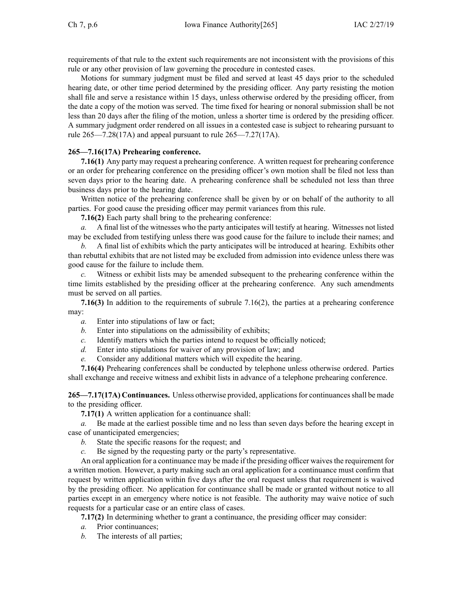requirements of that rule to the extent such requirements are not inconsistent with the provisions of this rule or any other provision of law governing the procedure in contested cases.

Motions for summary judgment must be filed and served at least 45 days prior to the scheduled hearing date, or other time period determined by the presiding officer. Any party resisting the motion shall file and serve <sup>a</sup> resistance within 15 days, unless otherwise ordered by the presiding officer, from the date <sup>a</sup> copy of the motion was served. The time fixed for hearing or nonoral submission shall be not less than 20 days after the filing of the motion, unless <sup>a</sup> shorter time is ordered by the presiding officer. A summary judgment order rendered on all issues in <sup>a</sup> contested case is subject to rehearing pursuan<sup>t</sup> to rule [265—7.28\(17A\)](https://www.legis.iowa.gov/docs/iac/rule/265.7.28.pdf) and appeal pursuan<sup>t</sup> to rule [265—7.27\(17A\)](https://www.legis.iowa.gov/docs/iac/rule/265.7.27.pdf).

# **265—7.16(17A) Prehearing conference.**

**7.16(1)** Any party may reques<sup>t</sup> <sup>a</sup> prehearing conference. A written reques<sup>t</sup> for prehearing conference or an order for prehearing conference on the presiding officer's own motion shall be filed not less than seven days prior to the hearing date. A prehearing conference shall be scheduled not less than three business days prior to the hearing date.

Written notice of the prehearing conference shall be given by or on behalf of the authority to all parties. For good cause the presiding officer may permit variances from this rule.

**7.16(2)** Each party shall bring to the prehearing conference:

*a.* A final list of the witnesses who the party anticipates will testify at hearing. Witnesses not listed may be excluded from testifying unless there was good cause for the failure to include their names; and

*b.* A final list of exhibits which the party anticipates will be introduced at hearing. Exhibits other than rebuttal exhibits that are not listed may be excluded from admission into evidence unless there was good cause for the failure to include them.

*c.* Witness or exhibit lists may be amended subsequent to the prehearing conference within the time limits established by the presiding officer at the prehearing conference. Any such amendments must be served on all parties.

**7.16(3)** In addition to the requirements of subrule [7.16\(2\)](https://www.legis.iowa.gov/docs/iac/rule/265.7.16.pdf), the parties at <sup>a</sup> prehearing conference may:

- *a.* Enter into stipulations of law or fact;
- *b.* Enter into stipulations on the admissibility of exhibits;
- *c.* Identify matters which the parties intend to reques<sup>t</sup> be officially noticed;
- *d.* Enter into stipulations for waiver of any provision of law; and
- *e.* Consider any additional matters which will expedite the hearing.

**7.16(4)** Prehearing conferences shall be conducted by telephone unless otherwise ordered. Parties shall exchange and receive witness and exhibit lists in advance of <sup>a</sup> telephone prehearing conference.

265—7.17(17A) Continuances. Unless otherwise provided, applications for continuances shall be made to the presiding officer.

**7.17(1)** A written application for <sup>a</sup> continuance shall:

*a.* Be made at the earliest possible time and no less than seven days before the hearing excep<sup>t</sup> in case of unanticipated emergencies;

- *b.* State the specific reasons for the request; and
- *c.* Be signed by the requesting party or the party's representative.

An oral application for a continuance may be made if the presiding officer waives the requirement for <sup>a</sup> written motion. However, <sup>a</sup> party making such an oral application for <sup>a</sup> continuance must confirm that reques<sup>t</sup> by written application within five days after the oral reques<sup>t</sup> unless that requirement is waived by the presiding officer. No application for continuance shall be made or granted without notice to all parties excep<sup>t</sup> in an emergency where notice is not feasible. The authority may waive notice of such requests for <sup>a</sup> particular case or an entire class of cases.

**7.17(2)** In determining whether to gran<sup>t</sup> <sup>a</sup> continuance, the presiding officer may consider:

- *a.* Prior continuances;
- *b.* The interests of all parties;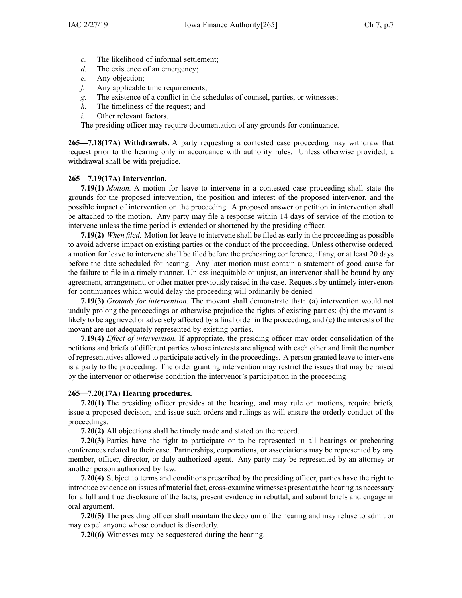- *c.* The likelihood of informal settlement;
- *d.* The existence of an emergency;
- *e.* Any objection;
- *f.* Any applicable time requirements;
- *g.* The existence of <sup>a</sup> conflict in the schedules of counsel, parties, or witnesses;
- *h.* The timeliness of the request; and
- *i.* Other relevant factors.

The presiding officer may require documentation of any grounds for continuance.

**265—7.18(17A) Withdrawals.** A party requesting <sup>a</sup> contested case proceeding may withdraw that reques<sup>t</sup> prior to the hearing only in accordance with authority rules. Unless otherwise provided, <sup>a</sup> withdrawal shall be with prejudice.

# **265—7.19(17A) Intervention.**

**7.19(1)** *Motion.* A motion for leave to intervene in <sup>a</sup> contested case proceeding shall state the grounds for the proposed intervention, the position and interest of the proposed intervenor, and the possible impact of intervention on the proceeding. A proposed answer or petition in intervention shall be attached to the motion. Any party may file <sup>a</sup> response within 14 days of service of the motion to intervene unless the time period is extended or shortened by the presiding officer.

**7.19(2)** *When filed.* Motion for leave to intervene shall be filed as early in the proceeding as possible to avoid adverse impact on existing parties or the conduct of the proceeding. Unless otherwise ordered, <sup>a</sup> motion for leave to intervene shall be filed before the prehearing conference, if any, or at least 20 days before the date scheduled for hearing. Any later motion must contain <sup>a</sup> statement of good cause for the failure to file in <sup>a</sup> timely manner. Unless inequitable or unjust, an intervenor shall be bound by any agreement, arrangement, or other matter previously raised in the case. Requests by untimely intervenors for continuances which would delay the proceeding will ordinarily be denied.

**7.19(3)** *Grounds for intervention.* The movant shall demonstrate that: (a) intervention would not unduly prolong the proceedings or otherwise prejudice the rights of existing parties; (b) the movant is likely to be aggrieved or adversely affected by <sup>a</sup> final order in the proceeding; and (c) the interests of the movant are not adequately represented by existing parties.

**7.19(4)** *Effect of intervention.* If appropriate, the presiding officer may order consolidation of the petitions and briefs of different parties whose interests are aligned with each other and limit the number of representatives allowed to participate actively in the proceedings. A person granted leave to intervene is <sup>a</sup> party to the proceeding. The order granting intervention may restrict the issues that may be raised by the intervenor or otherwise condition the intervenor's participation in the proceeding.

# **265—7.20(17A) Hearing procedures.**

**7.20(1)** The presiding officer presides at the hearing, and may rule on motions, require briefs, issue <sup>a</sup> proposed decision, and issue such orders and rulings as will ensure the orderly conduct of the proceedings.

**7.20(2)** All objections shall be timely made and stated on the record.

**7.20(3)** Parties have the right to participate or to be represented in all hearings or prehearing conferences related to their case. Partnerships, corporations, or associations may be represented by any member, officer, director, or duly authorized agent. Any party may be represented by an attorney or another person authorized by law.

**7.20(4)** Subject to terms and conditions prescribed by the presiding officer, parties have the right to introduce evidence on issues of material fact, cross-examine witnesses presen<sup>t</sup> at the hearing as necessary for <sup>a</sup> full and true disclosure of the facts, presen<sup>t</sup> evidence in rebuttal, and submit briefs and engage in oral argument.

**7.20(5)** The presiding officer shall maintain the decorum of the hearing and may refuse to admit or may expel anyone whose conduct is disorderly.

**7.20(6)** Witnesses may be sequestered during the hearing.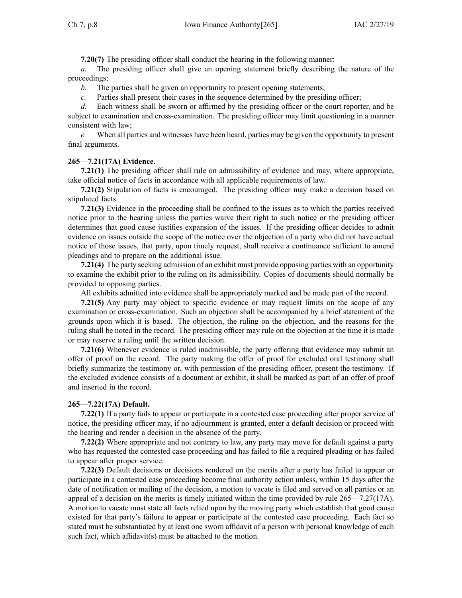**7.20(7)** The presiding officer shall conduct the hearing in the following manner:

*a.* The presiding officer shall give an opening statement briefly describing the nature of the proceedings;

*b.* The parties shall be given an opportunity to presen<sup>t</sup> opening statements;

*c.* Parties shall presen<sup>t</sup> their cases in the sequence determined by the presiding officer;

*d.* Each witness shall be sworn or affirmed by the presiding officer or the court reporter, and be subject to examination and cross-examination. The presiding officer may limit questioning in <sup>a</sup> manner consistent with law;

*e.* When all parties and witnesses have been heard, parties may be given the opportunity to presen<sup>t</sup> final arguments.

# **265—7.21(17A) Evidence.**

**7.21(1)** The presiding officer shall rule on admissibility of evidence and may, where appropriate, take official notice of facts in accordance with all applicable requirements of law.

**7.21(2)** Stipulation of facts is encouraged. The presiding officer may make <sup>a</sup> decision based on stipulated facts.

**7.21(3)** Evidence in the proceeding shall be confined to the issues as to which the parties received notice prior to the hearing unless the parties waive their right to such notice or the presiding officer determines that good cause justifies expansion of the issues. If the presiding officer decides to admit evidence on issues outside the scope of the notice over the objection of <sup>a</sup> party who did not have actual notice of those issues, that party, upon timely request, shall receive <sup>a</sup> continuance sufficient to amend pleadings and to prepare on the additional issue.

**7.21(4)** The party seeking admission of an exhibit must provide opposing parties with an opportunity to examine the exhibit prior to the ruling on its admissibility. Copies of documents should normally be provided to opposing parties.

All exhibits admitted into evidence shall be appropriately marked and be made par<sup>t</sup> of the record.

**7.21(5)** Any party may object to specific evidence or may reques<sup>t</sup> limits on the scope of any examination or cross-examination. Such an objection shall be accompanied by <sup>a</sup> brief statement of the grounds upon which it is based. The objection, the ruling on the objection, and the reasons for the ruling shall be noted in the record. The presiding officer may rule on the objection at the time it is made or may reserve <sup>a</sup> ruling until the written decision.

**7.21(6)** Whenever evidence is ruled inadmissible, the party offering that evidence may submit an offer of proof on the record. The party making the offer of proof for excluded oral testimony shall briefly summarize the testimony or, with permission of the presiding officer, presen<sup>t</sup> the testimony. If the excluded evidence consists of <sup>a</sup> document or exhibit, it shall be marked as par<sup>t</sup> of an offer of proof and inserted in the record.

# **265—7.22(17A) Default.**

**7.22(1)** If <sup>a</sup> party fails to appear or participate in <sup>a</sup> contested case proceeding after proper service of notice, the presiding officer may, if no adjournment is granted, enter <sup>a</sup> default decision or proceed with the hearing and render <sup>a</sup> decision in the absence of the party.

**7.22(2)** Where appropriate and not contrary to law, any party may move for default against <sup>a</sup> party who has requested the contested case proceeding and has failed to file <sup>a</sup> required pleading or has failed to appear after proper service.

**7.22(3)** Default decisions or decisions rendered on the merits after <sup>a</sup> party has failed to appear or participate in <sup>a</sup> contested case proceeding become final authority action unless, within 15 days after the date of notification or mailing of the decision, <sup>a</sup> motion to vacate is filed and served on all parties or an appeal of <sup>a</sup> decision on the merits is timely initiated within the time provided by rule [265—7.27\(17A\)](https://www.legis.iowa.gov/docs/iac/rule/265.7.27.pdf). A motion to vacate must state all facts relied upon by the moving party which establish that good cause existed for that party's failure to appear or participate at the contested case proceeding. Each fact so stated must be substantiated by at least one sworn affidavit of <sup>a</sup> person with personal knowledge of each such fact, which affidavit(s) must be attached to the motion.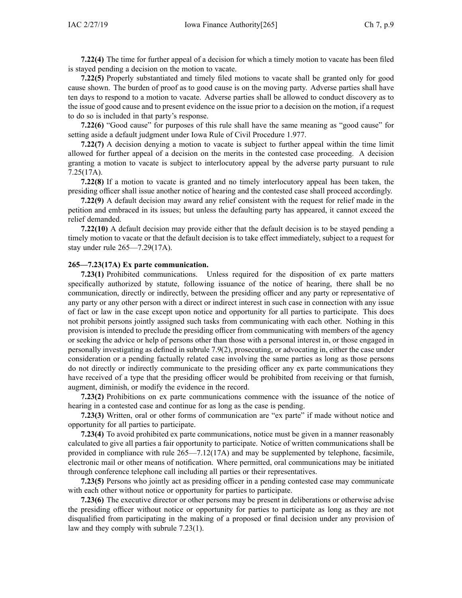**7.22(4)** The time for further appeal of <sup>a</sup> decision for which <sup>a</sup> timely motion to vacate has been filed is stayed pending <sup>a</sup> decision on the motion to vacate.

**7.22(5)** Properly substantiated and timely filed motions to vacate shall be granted only for good cause shown. The burden of proof as to good cause is on the moving party. Adverse parties shall have ten days to respond to <sup>a</sup> motion to vacate. Adverse parties shall be allowed to conduct discovery as to the issue of good cause and to presen<sup>t</sup> evidence on the issue prior to <sup>a</sup> decision on the motion, if <sup>a</sup> reques<sup>t</sup> to do so is included in that party's response.

**7.22(6)** "Good cause" for purposes of this rule shall have the same meaning as "good cause" for setting aside <sup>a</sup> default judgment under Iowa Rule of Civil Procedure 1.977.

**7.22(7)** A decision denying <sup>a</sup> motion to vacate is subject to further appeal within the time limit allowed for further appeal of <sup>a</sup> decision on the merits in the contested case proceeding. A decision granting <sup>a</sup> motion to vacate is subject to interlocutory appeal by the adverse party pursuan<sup>t</sup> to [rule](https://www.legis.iowa.gov/docs/iac/rule/265.7.25.pdf) [7.25\(17A\)](https://www.legis.iowa.gov/docs/iac/rule/265.7.25.pdf).

**7.22(8)** If <sup>a</sup> motion to vacate is granted and no timely interlocutory appeal has been taken, the presiding officer shall issue another notice of hearing and the contested case shall proceed accordingly.

**7.22(9)** A default decision may award any relief consistent with the reques<sup>t</sup> for relief made in the petition and embraced in its issues; but unless the defaulting party has appeared, it cannot exceed the relief demanded.

**7.22(10)** A default decision may provide either that the default decision is to be stayed pending <sup>a</sup> timely motion to vacate or that the default decision is to take effect immediately, subject to <sup>a</sup> reques<sup>t</sup> for stay under rule [265—7.29\(17A\)](https://www.legis.iowa.gov/docs/iac/rule/265.7.29.pdf).

#### **265—7.23(17A) Ex parte communication.**

**7.23(1)** Prohibited communications. Unless required for the disposition of ex parte matters specifically authorized by statute, following issuance of the notice of hearing, there shall be no communication, directly or indirectly, between the presiding officer and any party or representative of any party or any other person with <sup>a</sup> direct or indirect interest in such case in connection with any issue of fact or law in the case excep<sup>t</sup> upon notice and opportunity for all parties to participate. This does not prohibit persons jointly assigned such tasks from communicating with each other. Nothing in this provision is intended to preclude the presiding officer from communicating with members of the agency or seeking the advice or help of persons other than those with <sup>a</sup> personal interest in, or those engaged in personally investigating as defined in subrule [7.9\(2\)](https://www.legis.iowa.gov/docs/iac/rule/265.7.9.pdf), prosecuting, or advocating in, either the case under consideration or <sup>a</sup> pending factually related case involving the same parties as long as those persons do not directly or indirectly communicate to the presiding officer any ex parte communications they have received of <sup>a</sup> type that the presiding officer would be prohibited from receiving or that furnish, augment, diminish, or modify the evidence in the record.

**7.23(2)** Prohibitions on ex parte communications commence with the issuance of the notice of hearing in <sup>a</sup> contested case and continue for as long as the case is pending.

**7.23(3)** Written, oral or other forms of communication are "ex parte" if made without notice and opportunity for all parties to participate.

**7.23(4)** To avoid prohibited ex parte communications, notice must be given in <sup>a</sup> manner reasonably calculated to give all parties <sup>a</sup> fair opportunity to participate. Notice of written communications shall be provided in compliance with rule [265—7.12\(17A\)](https://www.legis.iowa.gov/docs/iac/rule/265.7.12.pdf) and may be supplemented by telephone, facsimile, electronic mail or other means of notification. Where permitted, oral communications may be initiated through conference telephone call including all parties or their representatives.

**7.23(5)** Persons who jointly act as presiding officer in <sup>a</sup> pending contested case may communicate with each other without notice or opportunity for parties to participate.

**7.23(6)** The executive director or other persons may be presen<sup>t</sup> in deliberations or otherwise advise the presiding officer without notice or opportunity for parties to participate as long as they are not disqualified from participating in the making of <sup>a</sup> proposed or final decision under any provision of law and they comply with subrule [7.23\(1\)](https://www.legis.iowa.gov/docs/iac/rule/265.7.23.pdf).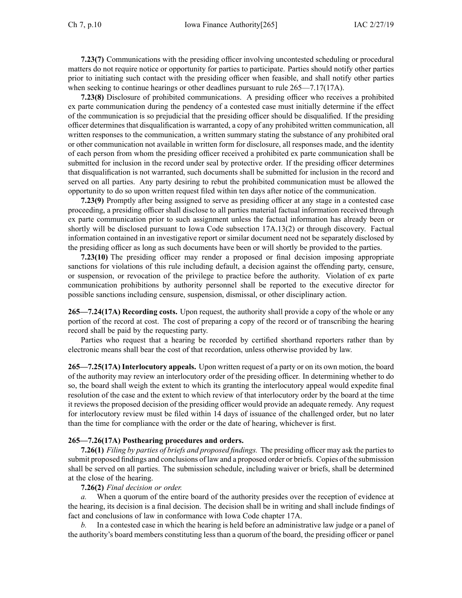**7.23(7)** Communications with the presiding officer involving uncontested scheduling or procedural matters do not require notice or opportunity for parties to participate. Parties should notify other parties prior to initiating such contact with the presiding officer when feasible, and shall notify other parties when seeking to continue hearings or other deadlines pursuant to rule [265—7.17\(17A\)](https://www.legis.iowa.gov/docs/iac/rule/265.7.17.pdf).

**7.23(8)** Disclosure of prohibited communications. A presiding officer who receives <sup>a</sup> prohibited ex parte communication during the pendency of <sup>a</sup> contested case must initially determine if the effect of the communication is so prejudicial that the presiding officer should be disqualified. If the presiding officer determines that disqualification is warranted, <sup>a</sup> copy of any prohibited written communication, all written responses to the communication, <sup>a</sup> written summary stating the substance of any prohibited oral or other communication not available in written form for disclosure, all responses made, and the identity of each person from whom the presiding officer received <sup>a</sup> prohibited ex parte communication shall be submitted for inclusion in the record under seal by protective order. If the presiding officer determines that disqualification is not warranted, such documents shall be submitted for inclusion in the record and served on all parties. Any party desiring to rebut the prohibited communication must be allowed the opportunity to do so upon written reques<sup>t</sup> filed within ten days after notice of the communication.

**7.23(9)** Promptly after being assigned to serve as presiding officer at any stage in <sup>a</sup> contested case proceeding, <sup>a</sup> presiding officer shall disclose to all parties material factual information received through ex parte communication prior to such assignment unless the factual information has already been or shortly will be disclosed pursuan<sup>t</sup> to Iowa Code subsection [17A.13\(2\)](https://www.legis.iowa.gov/docs/ico/section/17A.13.pdf) or through discovery. Factual information contained in an investigative repor<sup>t</sup> or similar document need not be separately disclosed by the presiding officer as long as such documents have been or will shortly be provided to the parties.

**7.23(10)** The presiding officer may render <sup>a</sup> proposed or final decision imposing appropriate sanctions for violations of this rule including default, <sup>a</sup> decision against the offending party, censure, or suspension, or revocation of the privilege to practice before the authority. Violation of ex parte communication prohibitions by authority personnel shall be reported to the executive director for possible sanctions including censure, suspension, dismissal, or other disciplinary action.

**265—7.24(17A) Recording costs.** Upon request, the authority shall provide <sup>a</sup> copy of the whole or any portion of the record at cost. The cost of preparing <sup>a</sup> copy of the record or of transcribing the hearing record shall be paid by the requesting party.

Parties who reques<sup>t</sup> that <sup>a</sup> hearing be recorded by certified shorthand reporters rather than by electronic means shall bear the cost of that recordation, unless otherwise provided by law.

**265—7.25(17A) Interlocutory appeals.** Upon written reques<sup>t</sup> of <sup>a</sup> party or on its own motion, the board of the authority may review an interlocutory order of the presiding officer. In determining whether to do so, the board shall weigh the extent to which its granting the interlocutory appeal would expedite final resolution of the case and the extent to which review of that interlocutory order by the board at the time it reviews the proposed decision of the presiding officer would provide an adequate remedy. Any reques<sup>t</sup> for interlocutory review must be filed within 14 days of issuance of the challenged order, but no later than the time for compliance with the order or the date of hearing, whichever is first.

## **265—7.26(17A) Posthearing procedures and orders.**

**7.26(1)** *Filing by parties of briefs and proposed findings.* The presiding officer may ask the partiesto submit proposed findings and conclusions of law and <sup>a</sup> proposed order or briefs. Copies of the submission shall be served on all parties. The submission schedule, including waiver or briefs, shall be determined at the close of the hearing.

#### **7.26(2)** *Final decision or order.*

*a.* When <sup>a</sup> quorum of the entire board of the authority presides over the reception of evidence at the hearing, its decision is <sup>a</sup> final decision. The decision shall be in writing and shall include findings of fact and conclusions of law in conformance with Iowa Code chapter [17A](https://www.legis.iowa.gov/docs/ico/chapter/17A.pdf).

*b.* In <sup>a</sup> contested case in which the hearing is held before an administrative law judge or <sup>a</sup> panel of the authority's board members constituting less than <sup>a</sup> quorum of the board, the presiding officer or panel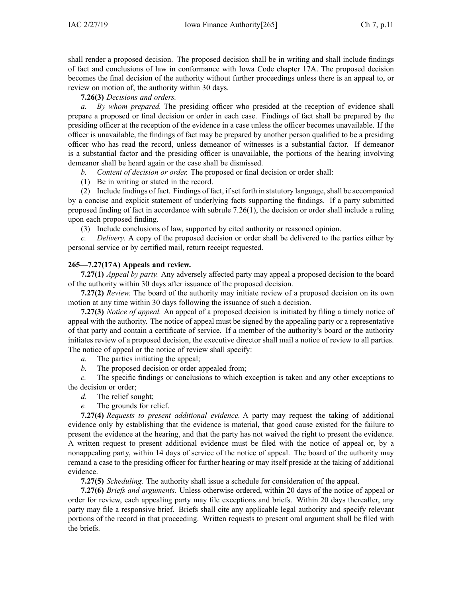shall render <sup>a</sup> proposed decision. The proposed decision shall be in writing and shall include findings of fact and conclusions of law in conformance with Iowa Code chapter [17A](https://www.legis.iowa.gov/docs/ico/chapter/17A.pdf). The proposed decision becomes the final decision of the authority without further proceedings unless there is an appeal to, or review on motion of, the authority within 30 days.

**7.26(3)** *Decisions and orders.*

*a. By whom prepared.* The presiding officer who presided at the reception of evidence shall prepare <sup>a</sup> proposed or final decision or order in each case. Findings of fact shall be prepared by the presiding officer at the reception of the evidence in <sup>a</sup> case unless the officer becomes unavailable. If the officer is unavailable, the findings of fact may be prepared by another person qualified to be <sup>a</sup> presiding officer who has read the record, unless demeanor of witnesses is <sup>a</sup> substantial factor. If demeanor is <sup>a</sup> substantial factor and the presiding officer is unavailable, the portions of the hearing involving demeanor shall be heard again or the case shall be dismissed.

*b. Content of decision or order.* The proposed or final decision or order shall:

(1) Be in writing or stated in the record.

(2) Include findings of fact. Findings of fact, if set forth in statutory language, shall be accompanied by <sup>a</sup> concise and explicit statement of underlying facts supporting the findings. If <sup>a</sup> party submitted proposed finding of fact in accordance with subrule [7.26\(1\)](https://www.legis.iowa.gov/docs/iac/rule/265.7.26.pdf), the decision or order shall include <sup>a</sup> ruling upon each proposed finding.

(3) Include conclusions of law, supported by cited authority or reasoned opinion.

*Delivery.* A copy of the proposed decision or order shall be delivered to the parties either by personal service or by certified mail, return receipt requested.

# **265—7.27(17A) Appeals and review.**

**7.27(1)** *Appeal by party.* Any adversely affected party may appeal <sup>a</sup> proposed decision to the board of the authority within 30 days after issuance of the proposed decision.

**7.27(2)** *Review.* The board of the authority may initiate review of <sup>a</sup> proposed decision on its own motion at any time within 30 days following the issuance of such <sup>a</sup> decision.

**7.27(3)** *Notice of appeal.* An appeal of <sup>a</sup> proposed decision is initiated by filing <sup>a</sup> timely notice of appeal with the authority. The notice of appeal must be signed by the appealing party or <sup>a</sup> representative of that party and contain <sup>a</sup> certificate of service. If <sup>a</sup> member of the authority's board or the authority initiates review of <sup>a</sup> proposed decision, the executive director shall mail <sup>a</sup> notice of review to all parties. The notice of appeal or the notice of review shall specify:

*a.* The parties initiating the appeal;

*b.* The proposed decision or order appealed from;

*c.* The specific findings or conclusions to which exception is taken and any other exceptions to the decision or order;

- *d.* The relief sought;
- *e.* The grounds for relief.

**7.27(4)** *Requests to presen<sup>t</sup> additional evidence.* A party may reques<sup>t</sup> the taking of additional evidence only by establishing that the evidence is material, that good cause existed for the failure to presen<sup>t</sup> the evidence at the hearing, and that the party has not waived the right to presen<sup>t</sup> the evidence. A written reques<sup>t</sup> to presen<sup>t</sup> additional evidence must be filed with the notice of appeal or, by <sup>a</sup> nonappealing party, within 14 days of service of the notice of appeal. The board of the authority may remand <sup>a</sup> case to the presiding officer for further hearing or may itself preside at the taking of additional evidence.

**7.27(5)** *Scheduling.* The authority shall issue <sup>a</sup> schedule for consideration of the appeal.

**7.27(6)** *Briefs and arguments.* Unless otherwise ordered, within 20 days of the notice of appeal or order for review, each appealing party may file exceptions and briefs. Within 20 days thereafter, any party may file <sup>a</sup> responsive brief. Briefs shall cite any applicable legal authority and specify relevant portions of the record in that proceeding. Written requests to presen<sup>t</sup> oral argumen<sup>t</sup> shall be filed with the briefs.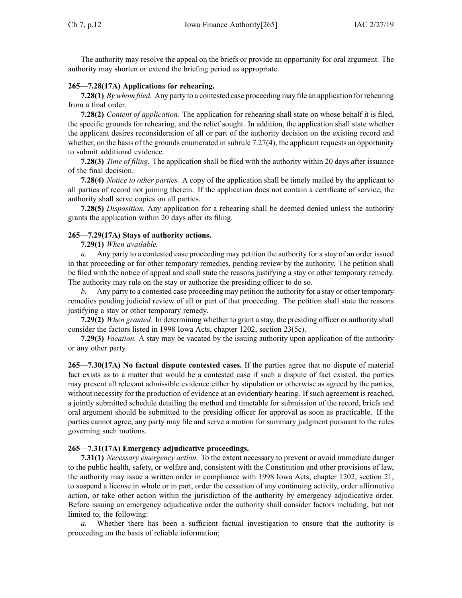The authority may resolve the appeal on the briefs or provide an opportunity for oral argument. The authority may shorten or extend the briefing period as appropriate.

### **265—7.28(17A) Applications for rehearing.**

**7.28(1)** *By whom filed.* Any party to <sup>a</sup> contested case proceeding may file an application for rehearing from <sup>a</sup> final order.

**7.28(2)** *Content of application.* The application for rehearing shall state on whose behalf it is filed, the specific grounds for rehearing, and the relief sought. In addition, the application shall state whether the applicant desires reconsideration of all or par<sup>t</sup> of the authority decision on the existing record and whether, on the basis of the grounds enumerated in subrule [7.27\(4\)](https://www.legis.iowa.gov/docs/iac/rule/265.7.27.pdf), the applicant requests an opportunity to submit additional evidence.

**7.28(3)** *Time of filing.* The application shall be filed with the authority within 20 days after issuance of the final decision.

**7.28(4)** *Notice to other parties.* A copy of the application shall be timely mailed by the applicant to all parties of record not joining therein. If the application does not contain <sup>a</sup> certificate of service, the authority shall serve copies on all parties.

**7.28(5)** *Disposition.* Any application for <sup>a</sup> rehearing shall be deemed denied unless the authority grants the application within 20 days after its filing.

### **265—7.29(17A) Stays of authority actions.**

**7.29(1)** *When available.*

*a.* Any party to <sup>a</sup> contested case proceeding may petition the authority for <sup>a</sup> stay of an order issued in that proceeding or for other temporary remedies, pending review by the authority. The petition shall be filed with the notice of appeal and shall state the reasons justifying <sup>a</sup> stay or other temporary remedy. The authority may rule on the stay or authorize the presiding officer to do so.

*b.* Any party to <sup>a</sup> contested case proceeding may petition the authority for <sup>a</sup> stay or other temporary remedies pending judicial review of all or par<sup>t</sup> of that proceeding. The petition shall state the reasons justifying <sup>a</sup> stay or other temporary remedy.

**7.29(2)** *When granted.* In determining whether to gran<sup>t</sup> <sup>a</sup> stay, the presiding officer or authority shall consider the factors listed in 1998 Iowa Acts, chapter 1202, section 23(5c).

**7.29(3)** *Vacation.* A stay may be vacated by the issuing authority upon application of the authority or any other party.

**265—7.30(17A) No factual dispute contested cases.** If the parties agree that no dispute of material fact exists as to <sup>a</sup> matter that would be <sup>a</sup> contested case if such <sup>a</sup> dispute of fact existed, the parties may presen<sup>t</sup> all relevant admissible evidence either by stipulation or otherwise as agreed by the parties, without necessity for the production of evidence at an evidentiary hearing. If such agreemen<sup>t</sup> is reached, <sup>a</sup> jointly submitted schedule detailing the method and timetable for submission of the record, briefs and oral argumen<sup>t</sup> should be submitted to the presiding officer for approval as soon as practicable. If the parties cannot agree, any party may file and serve <sup>a</sup> motion for summary judgment pursuan<sup>t</sup> to the rules governing such motions.

#### **265—7.31(17A) Emergency adjudicative proceedings.**

**7.31(1)** *Necessary emergency action.* To the extent necessary to preven<sup>t</sup> or avoid immediate danger to the public health, safety, or welfare and, consistent with the Constitution and other provisions of law, the authority may issue <sup>a</sup> written order in compliance with 1998 Iowa Acts, chapter 1202, section 21, to suspend <sup>a</sup> license in whole or in part, order the cessation of any continuing activity, order affirmative action, or take other action within the jurisdiction of the authority by emergency adjudicative order. Before issuing an emergency adjudicative order the authority shall consider factors including, but not limited to, the following:

*a.* Whether there has been <sup>a</sup> sufficient factual investigation to ensure that the authority is proceeding on the basis of reliable information;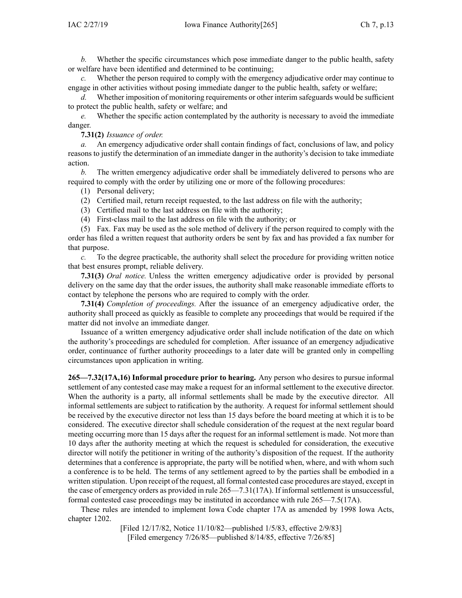*b.* Whether the specific circumstances which pose immediate danger to the public health, safety or welfare have been identified and determined to be continuing;

*c.* Whether the person required to comply with the emergency adjudicative order may continue to engage in other activities without posing immediate danger to the public health, safety or welfare;

*d.* Whether imposition of monitoring requirements or other interim safeguards would be sufficient to protect the public health, safety or welfare; and

*e.* Whether the specific action contemplated by the authority is necessary to avoid the immediate danger.

### **7.31(2)** *Issuance of order.*

*a.* An emergency adjudicative order shall contain findings of fact, conclusions of law, and policy reasons to justify the determination of an immediate danger in the authority's decision to take immediate action.

*b.* The written emergency adjudicative order shall be immediately delivered to persons who are required to comply with the order by utilizing one or more of the following procedures:

(1) Personal delivery;

- (2) Certified mail, return receipt requested, to the last address on file with the authority;
- (3) Certified mail to the last address on file with the authority;
- (4) First-class mail to the last address on file with the authority; or

(5) Fax. Fax may be used as the sole method of delivery if the person required to comply with the order has filed <sup>a</sup> written reques<sup>t</sup> that authority orders be sent by fax and has provided <sup>a</sup> fax number for that purpose.

*c.* To the degree practicable, the authority shall select the procedure for providing written notice that best ensures prompt, reliable delivery.

**7.31(3)** *Oral notice.* Unless the written emergency adjudicative order is provided by personal delivery on the same day that the order issues, the authority shall make reasonable immediate efforts to contact by telephone the persons who are required to comply with the order.

**7.31(4)** *Completion of proceedings.* After the issuance of an emergency adjudicative order, the authority shall proceed as quickly as feasible to complete any proceedings that would be required if the matter did not involve an immediate danger.

Issuance of <sup>a</sup> written emergency adjudicative order shall include notification of the date on which the authority's proceedings are scheduled for completion. After issuance of an emergency adjudicative order, continuance of further authority proceedings to <sup>a</sup> later date will be granted only in compelling circumstances upon application in writing.

**265—7.32(17A,16) Informal procedure prior to hearing.** Any person who desires to pursue informal settlement of any contested case may make <sup>a</sup> reques<sup>t</sup> for an informal settlement to the executive director. When the authority is <sup>a</sup> party, all informal settlements shall be made by the executive director. All informal settlements are subject to ratification by the authority. A reques<sup>t</sup> for informal settlement should be received by the executive director not less than 15 days before the board meeting at which it is to be considered. The executive director shall schedule consideration of the reques<sup>t</sup> at the next regular board meeting occurring more than 15 days after the reques<sup>t</sup> for an informal settlement is made. Not more than 10 days after the authority meeting at which the reques<sup>t</sup> is scheduled for consideration, the executive director will notify the petitioner in writing of the authority's disposition of the request. If the authority determines that <sup>a</sup> conference is appropriate, the party will be notified when, where, and with whom such <sup>a</sup> conference is to be held. The terms of any settlement agreed to by the parties shall be embodied in <sup>a</sup> written stipulation. Upon receipt of the request, all formal contested case procedures are stayed, excep<sup>t</sup> in the case of emergency orders as provided in rule [265—7.31\(17A\)](https://www.legis.iowa.gov/docs/iac/rule/265.7.31.pdf). If informal settlement is unsuccessful, formal contested case proceedings may be instituted in accordance with rule [265—7.5\(17A\)](https://www.legis.iowa.gov/docs/iac/rule/265.7.5.pdf).

These rules are intended to implement Iowa Code chapter [17A](https://www.legis.iowa.gov/docs/ico/chapter/17A.pdf) as amended by 1998 Iowa Acts, chapter 1202.

> [Filed 12/17/82, Notice 11/10/82—published 1/5/83, effective 2/9/83] [Filed emergency 7/26/85—published 8/14/85, effective 7/26/85]